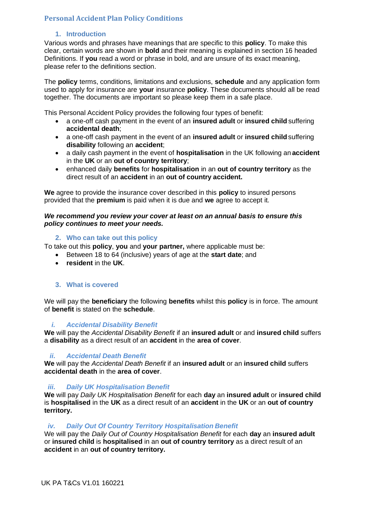# **Personal Accident Plan Policy Conditions**

# **1. Introduction**

Various words and phrases have meanings that are specific to this **policy**. To make this clear, certain words are shown in **bold** and their meaning is explained in section 16 headed Definitions. If **you** read a word or phrase in bold, and are unsure of its exact meaning, please refer to the definitions section.

The **policy** terms, conditions, limitations and exclusions, **schedule** and any application form used to apply for insurance are **your** insurance **policy**. These documents should all be read together. The documents are important so please keep them in a safe place.

This Personal Accident Policy provides the following four types of benefit:

- a one-off cash payment in the event of an **insured adult** or **insured child** suffering **accidental death**;
- a one-off cash payment in the event of an **insured adult** or **insured child** suffering **disability** following an **accident**;
- a daily cash payment in the event of **hospitalisation** in the UK following an **accident** in the **UK** or an **out of country territory**;
- enhanced daily **benefits** for **hospitalisation** in an **out of country territory** as the direct result of an **accident** in an **out of country accident.**

**We** agree to provide the insurance cover described in this **policy** to insured persons provided that the **premium** is paid when it is due and **we** agree to accept it.

#### *We recommend you review your cover at least on an annual basis to ensure this policy continues to meet your needs.*

## **2. Who can take out this policy**

To take out this **policy**, **you** and **your partner,** where applicable must be:

- Between 18 to 64 (inclusive) years of age at the **start date**; and
	- **resident** in the **UK**.

## **3. What is covered**

We will pay the **beneficiary** the following **benefits** whilst this **policy** is in force. The amount of **benefit** is stated on the **schedule**.

## *i. Accidental Disability Benefit*

**We** will pay the *Accidental Disability Benefit* if an **insured adult** or and **insured child** suffers a **disability** as a direct result of an **accident** in the **area of cover**.

## *ii. Accidental Death Benefit*

**We** will pay the *Accidental Death Benefit* if an **insured adult** or an **insured child** suffers **accidental death** in the **area of cover**.

## *iii. Daily UK Hospitalisation Benefit*

**We** will pay *Daily UK Hospitalisation Benefit* for each **day** an **insured adult** or **insured child**  is **hospitalised** in the **UK** as a direct result of an **accident** in the **UK** or an **out of country territory.**

## *iv. Daily Out Of Country Territory Hospitalisation Benefit*

We will pay the *Daily Out of Country Hospitalisation Benefit* for each **day** an **insured adult**  or **insured child** is **hospitalised** in an **out of country territory** as a direct result of an **accident** in an **out of country territory.**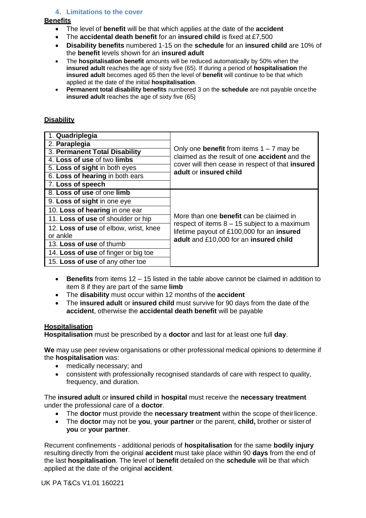# **4. Limitations to the cover**

# **Benefits**

- The level of **benefit** will be that which applies at the date of the **accident**
- The **accidental death benefit** for an **insured child** is fixed at £7,500
- **Disability benefits** numbered 1-15 on the **schedule** for an **insured child** are 10% of the **benefit** levels shown for an **insured adult**
- The **hospitalisation benefit** amounts will be reduced automatically by 50% when the **insured adult** reaches the age of sixty five (65). If during a period of **hospitalisation** the **insured adult** becomes aged 65 then the level of **benefit** will continue to be that which applied at the date of the initial **hospitalisation**.
- **Permanent total disability benefits** numbered 3 on the **schedule** are not payable oncethe **insured adult** reaches the age of sixty five (65)

# **Disability**

| 1. Quadriplegia                       | Only one <b>benefit</b> from items $1 - 7$ may be<br>claimed as the result of one <b>accident</b> and the<br>cover will then cease in respect of that insured<br>adult or insured child  |
|---------------------------------------|------------------------------------------------------------------------------------------------------------------------------------------------------------------------------------------|
| 2. Paraplegia                         |                                                                                                                                                                                          |
| 3. Permanent Total Disability         |                                                                                                                                                                                          |
| 4. Loss of use of two limbs           |                                                                                                                                                                                          |
| 5. Loss of sight in both eyes         |                                                                                                                                                                                          |
| 6. Loss of hearing in both ears       |                                                                                                                                                                                          |
| 7. Loss of speech                     |                                                                                                                                                                                          |
| 8. Loss of use of one limb            | More than one <b>benefit</b> can be claimed in<br>respect of items $8 - 15$ subject to a maximum<br>lifetime payout of £100,000 for an insured<br>adult and £10,000 for an insured child |
| 9. Loss of sight in one eye           |                                                                                                                                                                                          |
| 10. Loss of hearing in one ear        |                                                                                                                                                                                          |
| 11. Loss of use of shoulder or hip    |                                                                                                                                                                                          |
| 12. Loss of use of elbow, wrist, knee |                                                                                                                                                                                          |
| or ankle                              |                                                                                                                                                                                          |
| 13. Loss of use of thumb              |                                                                                                                                                                                          |
| 14. Loss of use of finger or big toe  |                                                                                                                                                                                          |
| 15. Loss of use of any other toe      |                                                                                                                                                                                          |

- **Benefits** from items 12 15 listed in the table above cannot be claimed in addition to item 8 if they are part of the same **limb**
- The **disability** must occur within 12 months of the **accident**
- The **insured adult** or **insured child** must survive for 90 days from the date of the **accident**, otherwise the **accidental death benefit** will be payable

## **Hospitalisation**

**Hospitalisation** must be prescribed by a **doctor** and last for at least one full **day**.

**We** may use peer review organisations or other professional medical opinions to determine if the **hospitalisation** was:

- medically necessary; and
- consistent with professionally recognised standards of care with respect to quality, frequency, and duration.

The **insured adult** or **insured child** in **hospital** must receive the **necessary treatment** under the professional care of a **doctor**.

- The **doctor** must provide the **necessary treatment** within the scope of theirlicence.
- The **doctor** may not be **you**, **your partner** or the parent, **child,** brother or sisterof **you** or **your partner**.

Recurrent confinements - additional periods of **hospitalisation** for the same **bodily injury**  resulting directly from the original **accident** must take place within 90 **days** from the end of the last **hospitalisation**. The level of **benefit** detailed on the **schedule** will be that which applied at the date of the original **accident**.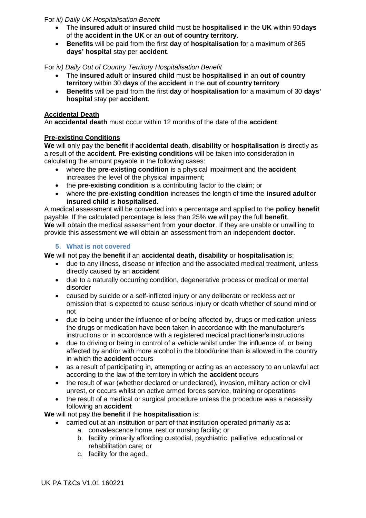# For *iii) Daily UK Hospitalisation Benefit*

- The **insured adult** or **insured child** must be **hospitalised** in the **UK** within 90 **days** of the **accident in the UK** or an **out of country territory**.
- **Benefits** will be paid from the first **day** of **hospitalisation** for a maximum of 365 **days' hospital** stay per **accident**.

# For *iv) Daily Out of Country Territory Hospitalisation Benefit*

- The **insured adult** or **insured child** must be **hospitalised** in an **out of country territory** within 30 **days** of the **accident** in the **out of country territory**
- **Benefits** will be paid from the first **day** of **hospitalisation** for a maximum of 30 **days' hospital** stay per **accident**.

# **Accidental Death**

An **accidental death** must occur within 12 months of the date of the **accident**.

# **Pre-existing Conditions**

**We** will only pay the **benefit** if **accidental death**, **disability** or **hospitalisation** is directly as a result of the **accident**. **Pre-existing conditions** will be taken into consideration in calculating the amount payable in the following cases:

- where the **pre-existing condition** is a physical impairment and the **accident** increases the level of the physical impairment;
- the **pre-existing condition** is a contributing factor to the claim; or
- where the **pre-existing condition** increases the length of time the **insured adult**or **insured child** is **hospitalised.**

A medical assessment will be converted into a percentage and applied to the **policy benefit** payable. If the calculated percentage is less than 25% **we** will pay the full **benefit**. **We** will obtain the medical assessment from **your doctor**. If they are unable or unwilling to provide this assessment **we** will obtain an assessment from an independent **doctor**.

# **5. What is not covered**

**We** will not pay the **benefit** if an **accidental death, disability** or **hospitalisation** is:

- due to any illness, disease or infection and the associated medical treatment, unless directly caused by an **accident**
- due to a naturally occurring condition, degenerative process or medical or mental disorder
- caused by suicide or a self-inflicted injury or any deliberate or reckless act or omission that is expected to cause serious injury or death whether of sound mind or not
- due to being under the influence of or being affected by, drugs or medication unless the drugs or medication have been taken in accordance with the manufacturer's instructions or in accordance with a registered medical practitioner's instructions
- due to driving or being in control of a vehicle whilst under the influence of, or being affected by and/or with more alcohol in the blood/urine than is allowed in the country in which the **accident** occurs
- as a result of participating in, attempting or acting as an accessory to an unlawful act according to the law of the territory in which the **accident** occurs
- the result of war (whether declared or undeclared), invasion, military action or civil unrest, or occurs whilst on active armed forces service, training or operations
- the result of a medical or surgical procedure unless the procedure was a necessity following an **accident**

**We** will not pay the **benefit** if the **hospitalisation** is:

- carried out at an institution or part of that institution operated primarily as a:
	- a. convalescence home, rest or nursing facility; or
	- b. facility primarily affording custodial, psychiatric, palliative, educational or rehabilitation care; or
	- c. facility for the aged.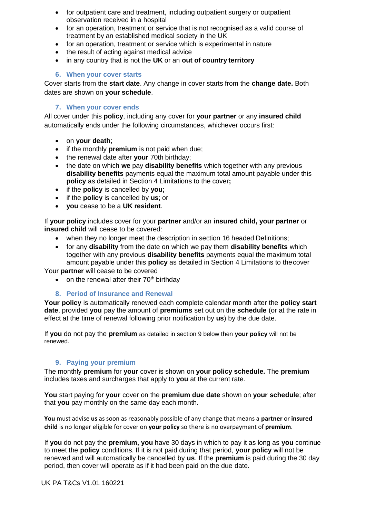- for outpatient care and treatment, including outpatient surgery or outpatient observation received in a hospital
- for an operation, treatment or service that is not recognised as a valid course of treatment by an established medical society in the UK
- for an operation, treatment or service which is experimental in nature
- the result of acting against medical advice
- in any country that is not the **UK** or an **out of country territory**

# **6. When your cover starts**

Cover starts from the **start date**. Any change in cover starts from the **change date.** Both dates are shown on **your schedule**.

# **7. When your cover ends**

All cover under this **policy**, including any cover for **your partner** or any **insured child** automatically ends under the following circumstances, whichever occurs first:

- on **your death**;
- if the monthly **premium** is not paid when due;
- the renewal date after **your** 70th birthday;
- the date on which **we** pay **disability benefits** which together with any previous **disability benefits** payments equal the maximum total amount payable under this **policy** as detailed in Section 4 Limitations to the cover**;**
- if the **policy** is cancelled by **you;**
- if the **policy** is cancelled by **us**; or
- **you** cease to be a **UK resident**.

If **your policy** includes cover for your **partner** and/or an **insured child, your partner** or **insured child** will cease to be covered:

- when they no longer meet the description in section 16 headed Definitions;
- for any **disability** from the date on which we pay them **disability benefits** which together with any previous **disability benefits** payments equal the maximum total amount payable under this **policy** as detailed in Section 4 Limitations to thecover

Your **partner** will cease to be covered

• on the renewal after their  $70<sup>th</sup>$  birthday

# **8. Period of Insurance and Renewal**

**Your policy** is automatically renewed each complete calendar month after the **policy start date**, provided **you** pay the amount of **premiums** set out on the **schedule** (or at the rate in effect at the time of renewal following prior notification by **us**) by the due date.

If **you** do not pay the **premium** as detailed in section 9 below then **your policy** will not be renewed.

## **9. Paying your premium**

The monthly **premium** for **your** cover is shown on **your policy schedule.** The **premium** includes taxes and surcharges that apply to **you** at the current rate.

**You** start paying for **your** cover on the **premium due date** shown on **your schedule**; after that **you** pay monthly on the same day each month.

**You** must advise **us** as soon as reasonably possible of any change that means a **partner** or **insured child** is no longer eligible for cover on **your policy** so there is no overpayment of **premium**.

If **you** do not pay the **premium, you** have 30 days in which to pay it as long as **you** continue to meet the **policy** conditions. If it is not paid during that period, **your policy** will not be renewed and will automatically be cancelled by **us**. If the **premium** is paid during the 30 day period, then cover will operate as if it had been paid on the due date.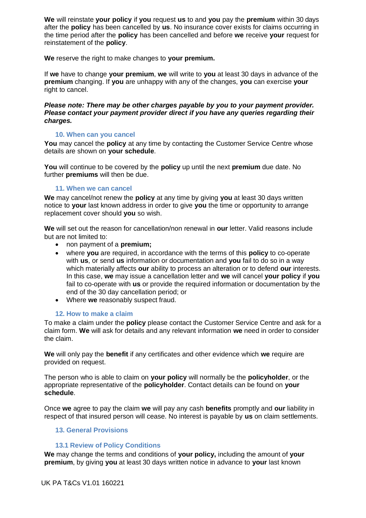**We** will reinstate **your policy** if **you** request **us** to and **you** pay the **premium** within 30 days after the **policy** has been cancelled by **us**. No insurance cover exists for claims occurring in the time period after the **policy** has been cancelled and before **we** receive **your** request for reinstatement of the **policy**.

**We** reserve the right to make changes to **your premium.**

If **we** have to change **your premium**, **we** will write to **you** at least 30 days in advance of the **premium** changing. If **you** are unhappy with any of the changes, **you** can exercise **your**  right to cancel.

#### *Please note: There may be other charges payable by you to your payment provider. Please contact your payment provider direct if you have any queries regarding their charges.*

#### **10. When can you cancel**

You may cancel the **policy** at any time by contacting the Customer Service Centre whose details are shown on **your schedule**.

**You** will continue to be covered by the **policy** up until the next **premium** due date. No further **premiums** will then be due.

#### **11. When we can cancel**

**We** may cancel/not renew the **policy** at any time by giving **you** at least 30 days written notice to **your** last known address in order to give **you** the time or opportunity to arrange replacement cover should **you** so wish.

**We** will set out the reason for cancellation/non renewal in **our** letter. Valid reasons include but are not limited to:

- non payment of a **premium;**
- where **you** are required, in accordance with the terms of this **policy** to co-operate with **us**, or send **us** information or documentation and **you** fail to do so in a way which materially affects **our** ability to process an alteration or to defend **our** interests. In this case, **we** may issue a cancellation letter and **we** will cancel **your policy** if **you**  fail to co-operate with **us** or provide the required information or documentation by the end of the 30 day cancellation period; or
- Where **we** reasonably suspect fraud.

## **12. How to make a claim**

To make a claim under the **policy** please contact the Customer Service Centre and ask for a claim form. **We** will ask for details and any relevant information **we** need in order to consider the claim.

**We** will only pay the **benefit** if any certificates and other evidence which **we** require are provided on request.

The person who is able to claim on **your policy** will normally be the **policyholder**, or the appropriate representative of the **policyholder**. Contact details can be found on **your schedule**.

Once **we** agree to pay the claim **we** will pay any cash **benefits** promptly and **our** liability in respect of that insured person will cease. No interest is payable by **us** on claim settlements.

## **13. General Provisions**

#### **13.1 Review of Policy Conditions**

**We** may change the terms and conditions of **your policy,** including the amount of **your premium**, by giving **you** at least 30 days written notice in advance to **your** last known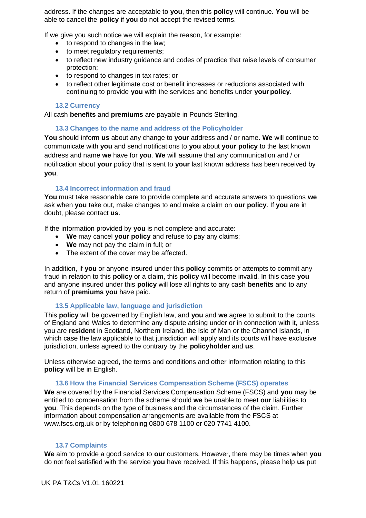address. If the changes are acceptable to **you**, then this **policy** will continue. **You** will be able to cancel the **policy** if **you** do not accept the revised terms.

If we give you such notice we will explain the reason, for example:

- to respond to changes in the law;
- to meet regulatory requirements;
- to reflect new industry guidance and codes of practice that raise levels of consumer protection;
- to respond to changes in tax rates; or
- to reflect other legitimate cost or benefit increases or reductions associated with continuing to provide **you** with the services and benefits under **your policy**.

#### **13.2 Currency**

All cash **benefits** and **premiums** are payable in Pounds Sterling.

#### **13.3 Changes to the name and address of the Policyholder**

**You** should inform **us** about any change to **your** address and / or name. **We** will continue to communicate with **you** and send notifications to **you** about **your policy** to the last known address and name **we** have for **you**. **We** will assume that any communication and / or notification about **your** policy that is sent to **your** last known address has been received by **you**.

#### **13.4 Incorrect information and fraud**

**You** must take reasonable care to provide complete and accurate answers to questions **we**  ask when **you** take out, make changes to and make a claim on **our policy**. If **you** are in doubt, please contact **us**.

If the information provided by **you** is not complete and accurate:

- **We** may cancel **your policy** and refuse to pay any claims;
- **We** may not pay the claim in full; or
- The extent of the cover may be affected.

In addition, if **you** or anyone insured under this **policy** commits or attempts to commit any fraud in relation to this **policy** or a claim, this **policy** will become invalid. In this case **you**  and anyone insured under this **policy** will lose all rights to any cash **benefits** and to any return of **premiums you** have paid.

## **13.5 Applicable law, language and jurisdiction**

This **policy** will be governed by English law, and **you** and **we** agree to submit to the courts of England and Wales to determine any dispute arising under or in connection with it, unless you are **resident** in Scotland, Northern Ireland, the Isle of Man or the Channel Islands, in which case the law applicable to that jurisdiction will apply and its courts will have exclusive jurisdiction, unless agreed to the contrary by the **policyholder** and **us**.

Unless otherwise agreed, the terms and conditions and other information relating to this **policy** will be in English.

#### **13.6 How the Financial Services Compensation Scheme (FSCS) operates**

**We** are covered by the Financial Services Compensation Scheme (FSCS) and **you** may be entitled to compensation from the scheme should **we** be unable to meet **our** liabilities to **you**. This depends on the type of business and the circumstances of the claim. Further information about compensation arrangements are available from the FSCS at [www.fscs.org.uk o](http://www.fscs.org.uk/)r by telephoning 0800 678 1100 or 020 7741 4100.

#### **13.7 Complaints**

**We** aim to provide a good service to **our** customers. However, there may be times when **you** do not feel satisfied with the service **you** have received. If this happens, please help **us** put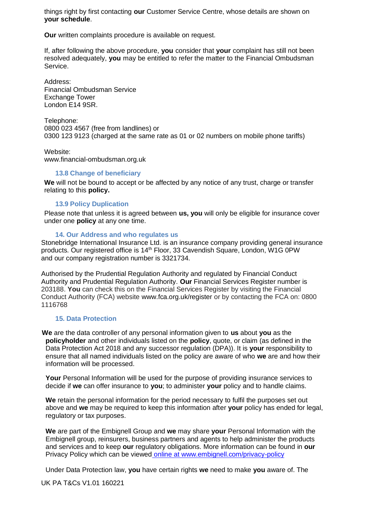things right by first contacting **our** Customer Service Centre, whose details are shown on **your schedule**.

**Our** written complaints procedure is available on request.

If, after following the above procedure, **you** consider that **your** complaint has still not been resolved adequately, **you** may be entitled to refer the matter to the Financial Ombudsman Service.

Address: Financial Ombudsman Service Exchange Tower London E14 9SR.

Telephone: 0800 023 4567 (free from landlines) or 0300 123 9123 (charged at the same rate as 01 or 02 numbers on mobile phone tariffs)

Website: [www.financial-ombudsman.org.uk](http://www.financial-ombudsman.org.uk/)

#### **13.8 Change of beneficiary**

**We** will not be bound to accept or be affected by any notice of any trust, charge or transfer relating to this **policy.**

#### **13.9 Policy Duplication**

Please note that unless it is agreed between **us, you** will only be eligible for insurance cover under one **policy** at any one time.

#### **14. Our Address and who regulates us**

Stonebridge International Insurance Ltd. is an insurance company providing general insurance products. Our registered office is 14<sup>th</sup> Floor, 33 Cavendish Square, London, W1G 0PW and our company registration number is 3321734.

Authorised by the Prudential Regulation Authority and regulated by Financial Conduct Authority and Prudential Regulation Authority. **Our** Financial Services Register number is 203188. **You** can check this on the Financial Services Register by visiting the Financial Conduct Authority (FCA) website [www.fca.org.uk/register o](http://www.fca.org.uk/register)r by contacting the FCA on: 0800 1116768

#### **15. Data Protection**

 **We** are the data controller of any personal information given to **us** about **you** as the **policyholder** and other individuals listed on the **policy**, quote, or claim (as defined in the Data Protection Act 2018 and any successor regulation (DPA)). It is **your** responsibility to ensure that all named individuals listed on the policy are aware of who **we** are and how their information will be processed.

**Your** Personal Information will be used for the purpose of providing insurance services to decide if **we** can offer insurance to **you**; to administer **your** policy and to handle claims.

**We** retain the personal information for the period necessary to fulfil the purposes set out above and **we** may be required to keep this information after **your** policy has ended for legal, regulatory or tax purposes.

**We** are part of the Embignell Group and **we** may share **your** Personal Information with the Embignell group, reinsurers, business partners and agents to help administer the products and services and to keep **our** regulatory obligations. More information can be found in **our** Privacy Policy which can be viewed online at www.embignell.com/privacy-policy

Under Data Protection law, **you** have certain rights **we** need to make **you** aware of. The

UK PA T&Cs V1.01 160221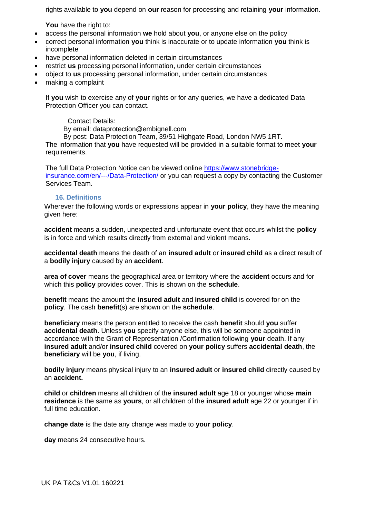rights available to **you** depend on **our** reason for processing and retaining **your** information.

**You** have the right to:

- access the personal information **we** hold about **you**, or anyone else on the policy
- correct personal information **you** think is inaccurate or to update information **you** think is incomplete
- have personal information deleted in certain circumstances
- restrict **us** processing personal information, under certain circumstances
- object to **us** processing personal information, under certain circumstances
- making a complaint

If **you** wish to exercise any of **your** rights or for any queries, we have a dedicated Data Protection Officer you can contact.

# Contact Details:

By email: dataprotection@embignell.com

By post: Data Protection Team, 39/51 Highgate Road, London NW5 1RT. The information that **you** have requested will be provided in a suitable format to meet **your** 

requirements.

The full Data Protection Notice can be viewed online [https://www.stonebridge](https://www.stonebridge-insurance.com/en/---/Data-Protection/)[insurance.com/en/---/Data-Protection/](https://www.stonebridge-insurance.com/en/---/Data-Protection/) or you can request a copy by contacting the Customer Services Team.

# **16. Definitions**

Wherever the following words or expressions appear in **your policy**, they have the meaning given here:

**accident** means a sudden, unexpected and unfortunate event that occurs whilst the **policy** is in force and which results directly from external and violent means.

**accidental death** means the death of an **insured adult** or **insured child** as a direct result of a **bodily injury** caused by an **accident**.

**area of cover** means the geographical area or territory where the **accident** occurs and for which this **policy** provides cover. This is shown on the **schedule**.

**benefit** means the amount the **insured adult** and **insured child** is covered for on the **policy**. The cash **benefit**(s) are shown on the **schedule**.

**beneficiary** means the person entitled to receive the cash **benefit** should **you** suffer **accidental death**. Unless **you** specify anyone else, this will be someone appointed in accordance with the Grant of Representation /Confirmation following **your** death. If any **insured adult** and/or **insured child** covered on **your policy** suffers **accidental death**, the **beneficiary** will be **you**, if living.

**bodily injury** means physical injury to an **insured adult** or **insured child** directly caused by an **accident.**

**child** or **children** means all children of the **insured adult** age 18 or younger whose **main residence** is the same as **yours**, or all children of the **insured adult** age 22 or younger if in full time education.

**change date** is the date any change was made to **your policy**.

**day** means 24 consecutive hours.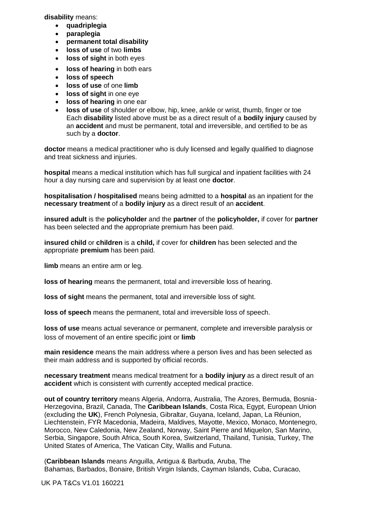**disability** means:

- **quadriplegia**
- **paraplegia**
- **permanent total disability**
- **loss of use** of two **limbs**
- **loss of sight** in both eyes
- **loss of hearing** in both ears
- **loss of speech**
- **loss of use** of one **limb**
- **loss of sight** in one eye
- **loss of hearing** in one ear
- **loss of use** of shoulder or elbow, hip, knee, ankle or wrist, thumb, finger or toe Each **disability** listed above must be as a direct result of a **bodily injury** caused by an **accident** and must be permanent, total and irreversible, and certified to be as such by a **doctor**.

**doctor** means a medical practitioner who is duly licensed and legally qualified to diagnose and treat sickness and injuries.

**hospital** means a medical institution which has full surgical and inpatient facilities with 24 hour a day nursing care and supervision by at least one **doctor**.

**hospitalisation / hospitalised** means being admitted to a **hospital** as an inpatient for the **necessary treatment** of a **bodily injury** as a direct result of an **accident**.

**insured adult** is the **policyholder** and the **partner** of the **policyholder,** if cover for **partner** has been selected and the appropriate premium has been paid.

**insured child** or **children** is a **child,** if cover for **children** has been selected and the appropriate **premium** has been paid.

**limb** means an entire arm or leg.

**loss of hearing** means the permanent, total and irreversible loss of hearing.

**loss of sight** means the permanent, total and irreversible loss of sight.

**loss of speech** means the permanent, total and irreversible loss of speech.

**loss of use** means actual severance or permanent, complete and irreversible paralysis or loss of movement of an entire specific joint or **limb**

**main residence** means the main address where a person lives and has been selected as their main address and is supported by official records.

**necessary treatment** means medical treatment for a **bodily injury** as a direct result of an **accident** which is consistent with currently accepted medical practice.

**out of country territory** means Algeria, Andorra, Australia, The Azores, Bermuda, Bosnia-Herzegovina, Brazil, Canada, The **Caribbean Islands**, Costa Rica, Egypt, European Union (excluding the **UK**), French Polynesia, Gibraltar, Guyana, Iceland, Japan, La Réunion, Liechtenstein, FYR Macedonia, Madeira, Maldives, Mayotte, Mexico, Monaco, Montenegro, Morocco, New Caledonia, New Zealand, Norway, Saint Pierre and Miquelon, San Marino, Serbia, Singapore, South Africa, South Korea, Switzerland, Thailand, Tunisia, Turkey, The United States of America, The Vatican City, Wallis and Futuna.

(**Caribbean Islands** means Anguilla, Antigua & Barbuda, Aruba, The Bahamas, Barbados, Bonaire, British Virgin Islands, Cayman Islands, Cuba, Curacao,

UK PA T&Cs V1.01 160221